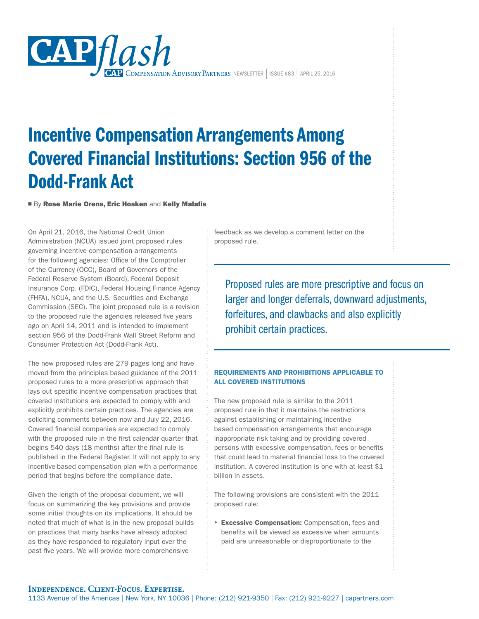

# Incentive Compensation Arrangements Among Covered Financial Institutions: Section 956 of the Dodd-Frank Act

■ By Rose Marie Orens, Eric Hosken and Kelly Malafis

On April 21, 2016, the National Credit Union Administration (NCUA) issued joint proposed rules governing incentive compensation arrangements for the following agencies: Office of the Comptroller of the Currency (OCC), Board of Governors of the Federal Reserve System (Board), Federal Deposit Insurance Corp. (FDIC), Federal Housing Finance Agency (FHFA), NCUA, and the U.S. Securities and Exchange Commission (SEC). The joint proposed rule is a revision to the proposed rule the agencies released five years ago on April 14, 2011 and is intended to implement section 956 of the Dodd-Frank Wall Street Reform and Consumer Protection Act (Dodd-Frank Act).

The new proposed rules are 279 pages long and have moved from the principles based guidance of the 2011 proposed rules to a more prescriptive approach that lays out specific incentive compensation practices that covered institutions are expected to comply with and explicitly prohibits certain practices. The agencies are soliciting comments between now and July 22, 2016. Covered financial companies are expected to comply with the proposed rule in the first calendar quarter that begins 540 days (18 months) after the final rule is published in the Federal Register. It will not apply to any incentive-based compensation plan with a performance period that begins before the compliance date.

Given the length of the proposal document, we will focus on summarizing the key provisions and provide some initial thoughts on its implications. It should be noted that much of what is in the new proposal builds on practices that many banks have already adopted as they have responded to regulatory input over the past five years. We will provide more comprehensive

feedback as we develop a comment letter on the proposed rule.

Proposed rules are more prescriptive and focus on larger and longer deferrals, downward adjustments, forfeitures, and clawbacks and also explicitly prohibit certain practices.

# REQUIREMENTS AND PROHIBITIONS APPLICABLE TO ALL COVERED INSTITUTIONS

The new proposed rule is similar to the 2011 proposed rule in that it maintains the restrictions against establishing or maintaining incentivebased compensation arrangements that encourage inappropriate risk taking and by providing covered persons with excessive compensation, fees or benefits that could lead to material financial loss to the covered institution. A covered institution is one with at least \$1 billion in assets.

The following provisions are consistent with the 2011 proposed rule:

**• Excessive Compensation:** Compensation, fees and benefits will be viewed as excessive when amounts paid are unreasonable or disproportionate to the

# **Independence. Client-Focus. Expertise.**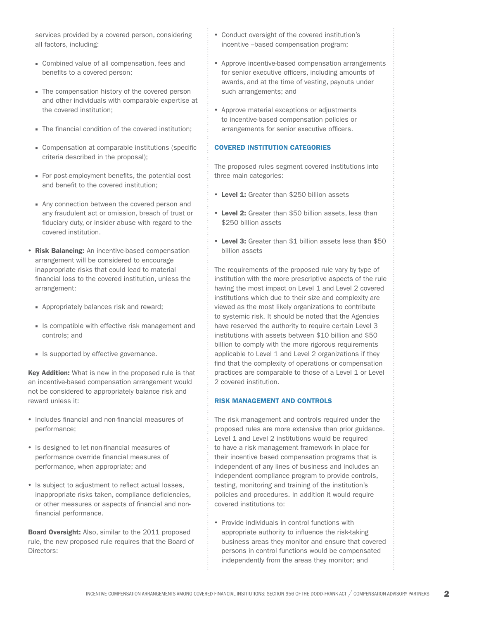services provided by a covered person, considering all factors, including:

- Combined value of all compensation, fees and benefits to a covered person;
- The compensation history of the covered person and other individuals with comparable expertise at the covered institution;
- The financial condition of the covered institution:
- Compensation at comparable institutions (specific criteria described in the proposal);
- For post-employment benefits, the potential cost and benefit to the covered institution;
- Any connection between the covered person and any fraudulent act or omission, breach of trust or fiduciary duty, or insider abuse with regard to the covered institution.
- Risk Balancing: An incentive-based compensation arrangement will be considered to encourage inappropriate risks that could lead to material financial loss to the covered institution, unless the arrangement:
	- Appropriately balances risk and reward;
	- Is compatible with effective risk management and controls; and
	- Is supported by effective governance.

Key Addition: What is new in the proposed rule is that an incentive-based compensation arrangement would not be considered to appropriately balance risk and reward unless it:

- Includes financial and non-financial measures of performance;
- Is designed to let non-financial measures of performance override financial measures of performance, when appropriate; and
- Is subject to adjustment to reflect actual losses, inappropriate risks taken, compliance deficiencies, or other measures or aspects of financial and nonfinancial performance.

Board Oversight: Also, similar to the 2011 proposed rule, the new proposed rule requires that the Board of Directors:

- Conduct oversight of the covered institution's incentive –based compensation program;
- Approve incentive-based compensation arrangements for senior executive officers, including amounts of awards, and at the time of vesting, payouts under such arrangements; and
- Approve material exceptions or adjustments to incentive-based compensation policies or arrangements for senior executive officers.

## COVERED INSTITUTION CATEGORIES

The proposed rules segment covered institutions into three main categories:

- Level 1: Greater than \$250 billion assets
- Level 2: Greater than \$50 billion assets, less than \$250 billion assets
- Level 3: Greater than \$1 billion assets less than \$50 billion assets

The requirements of the proposed rule vary by type of institution with the more prescriptive aspects of the rule having the most impact on Level 1 and Level 2 covered institutions which due to their size and complexity are viewed as the most likely organizations to contribute to systemic risk. It should be noted that the Agencies have reserved the authority to require certain Level 3 institutions with assets between \$10 billion and \$50 billion to comply with the more rigorous requirements applicable to Level 1 and Level 2 organizations if they find that the complexity of operations or compensation practices are comparable to those of a Level 1 or Level 2 covered institution.

## RISK MANAGEMENT AND CONTROLS

The risk management and controls required under the proposed rules are more extensive than prior guidance. Level 1 and Level 2 institutions would be required to have a risk management framework in place for their incentive based compensation programs that is independent of any lines of business and includes an independent compliance program to provide controls, testing, monitoring and training of the institution's policies and procedures. In addition it would require covered institutions to:

• Provide individuals in control functions with appropriate authority to influence the risk-taking business areas they monitor and ensure that covered persons in control functions would be compensated independently from the areas they monitor; and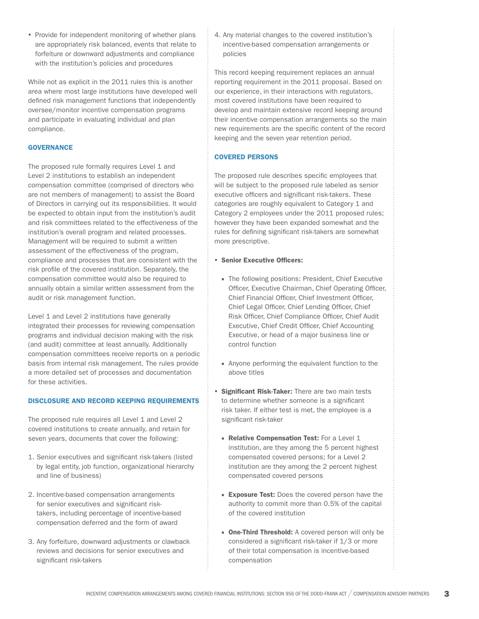• Provide for independent monitoring of whether plans are appropriately risk balanced, events that relate to forfeiture or downward adjustments and compliance with the institution's policies and procedures

While not as explicit in the 2011 rules this is another area where most large institutions have developed well defined risk management functions that independently oversee/monitor incentive compensation programs and participate in evaluating individual and plan compliance.

## **GOVERNANCE**

The proposed rule formally requires Level 1 and Level 2 institutions to establish an independent compensation committee (comprised of directors who are not members of management) to assist the Board of Directors in carrying out its responsibilities. It would be expected to obtain input from the institution's audit and risk committees related to the effectiveness of the institution's overall program and related processes. Management will be required to submit a written assessment of the effectiveness of the program, compliance and processes that are consistent with the risk profile of the covered institution. Separately, the compensation committee would also be required to annually obtain a similar written assessment from the audit or risk management function.

Level 1 and Level 2 institutions have generally integrated their processes for reviewing compensation programs and individual decision making with the risk (and audit) committee at least annually. Additionally compensation committees receive reports on a periodic basis from internal risk management. The rules provide a more detailed set of processes and documentation for these activities.

#### DISCLOSURE AND RECORD KEEPING REQUIREMENTS

The proposed rule requires all Level 1 and Level 2 covered institutions to create annually, and retain for seven years, documents that cover the following:

- 1. Senior executives and significant risk-takers (listed by legal entity, job function, organizational hierarchy and line of business)
- 2. Incentive-based compensation arrangements for senior executives and significant risktakers, including percentage of incentive-based compensation deferred and the form of award
- 3. Any forfeiture, downward adjustments or clawback reviews and decisions for senior executives and significant risk-takers

4. Any material changes to the covered institution's incentive-based compensation arrangements or policies

This record keeping requirement replaces an annual reporting requirement in the 2011 proposal. Based on our experience, in their interactions with regulators, most covered institutions have been required to develop and maintain extensive record keeping around their incentive compensation arrangements so the main new requirements are the specific content of the record keeping and the seven year retention period.

#### COVERED PERSONS

The proposed rule describes specific employees that will be subject to the proposed rule labeled as senior executive officers and significant risk-takers. These categories are roughly equivalent to Category 1 and Category 2 employees under the 2011 proposed rules; however they have been expanded somewhat and the rules for defining significant risk-takers are somewhat more prescriptive.

#### • Senior Executive Officers:

- The following positions: President, Chief Executive Officer, Executive Chairman, Chief Operating Officer, Chief Financial Officer, Chief Investment Officer, Chief Legal Officer, Chief Lending Officer, Chief Risk Officer, Chief Compliance Officer, Chief Audit Executive, Chief Credit Officer, Chief Accounting Executive, or head of a major business line or control function
- Anyone performing the equivalent function to the above titles
- Significant Risk-Taker: There are two main tests to determine whether someone is a significant risk taker. If either test is met, the employee is a significant risk-taker
	- Relative Compensation Test: For a Level 1 institution, are they among the 5 percent highest compensated covered persons; for a Level 2 institution are they among the 2 percent highest compensated covered persons
	- **Exposure Test:** Does the covered person have the authority to commit more than 0.5% of the capital of the covered institution
	- One-Third Threshold: A covered person will only be considered a significant risk-taker if 1/3 or more of their total compensation is incentive-based compensation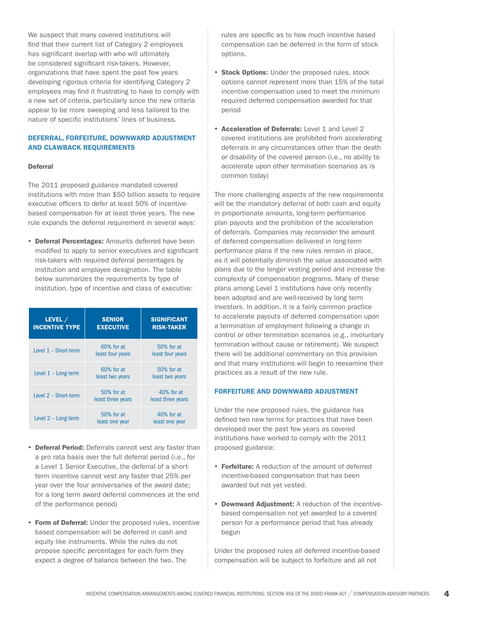We suspect that many covered institutions will find that their current list of Category 2 employees has significant overlap with who will ultimately be considered significant risk-takers. However, organizations that have spent the past few years developing rigorous criteria for identifying Category 2 employees may find it frustrating to have to comply with a new set of criteria, particularly since the new criteria appear to be more sweeping and less tailored to the nature of specific institutions' lines of business.

## DEFERRAL, FORFEITURE, DOWNWARD ADJUSTMENT AND CLAWBACK REQUIREMENTS

#### Deferral

The 2011 proposed guidance mandated covered institutions with more than \$50 billion assets to require executive officers to defer at least 50% of incentivebased compensation for at least three years. The new rule expands the deferral requirement in several ways:

• Deferral Percentages: Amounts deferred have been modified to apply to senior executives and significant risk-takers with required deferral percentages by institution and employee designation. The table below summarizes the requirements by type of institution, type of incentive and class of executive:

| LEVEL /<br><b>INCENTIVE TYPE</b> | <b>SENIOR</b><br><b>EXECUTIVE</b> | <b>SIGNIFICANT</b><br><b>RISK-TAKER</b> |
|----------------------------------|-----------------------------------|-----------------------------------------|
| Level 1 - Short-term             | 60% for at<br>least four years    | 50% for at<br>least four years          |
| Level $1 -$ Long-term            | 60% for at<br>least two years     | 50% for at<br>least two years           |
| Level 2 - Short-term             | 50% for at<br>least three years   | $40%$ for at<br>least three years       |
| Level 2 - Long-term              | 50% for at<br>least one year      | 40% for at<br>least one year            |

- Deferral Period: Deferrals cannot vest any faster than a pro rata basis over the full deferral period (i.e., for a Level 1 Senior Executive, the deferral of a shortterm incentive cannot vest any faster that 25% per year over the four anniversaries of the award date; for a long term award deferral commences at the end of the performance period)
- Form of Deferral: Under the proposed rules, incentive based compensation will be deferred in cash and equity like instruments. While the rules do not propose specific percentages for each form they expect a degree of balance between the two. The

rules are specific as to how much incentive based compensation can be deferred in the form of stock options.

- Stock Options: Under the proposed rules, stock options cannot represent more than 15% of the total incentive compensation used to meet the minimum required deferred compensation awarded for that period
- Acceleration of Deferrals: Level 1 and Level 2 covered institutions are prohibited from accelerating deferrals in any circumstances other than the death or disability of the covered person (i.e., no ability to accelerate upon other termination scenarios as is common today)

The more challenging aspects of the new requirements will be the mandatory deferral of both cash and equity in proportionate amounts, long-term performance plan payouts and the prohibition of the acceleration of deferrals. Companies may reconsider the amount of deferred compensation delivered in long-term performance plans if the new rules remain in place, as it will potentially diminish the value associated with plans due to the longer vesting period and increase the complexity of compensation programs. Many of these plans among Level 1 institutions have only recently been adopted and are well-received by long term investors. In addition, it is a fairly common practice to accelerate payouts of deferred compensation upon a termination of employment following a change in control or other termination scenarios (e.g., involuntary termination without cause or retirement). We suspect there will be additional commentary on this provision and that many institutions will begin to reexamine their practices as a result of the new rule.

## FORFEITURE AND DOWNWARD ADJUSTMENT

Under the new proposed rules, the guidance has defined two new terms for practices that have been developed over the past few years as covered institutions have worked to comply with the 2011 proposed guidance:

- Forfeiture: A reduction of the amount of deferred incentive-based compensation that has been awarded but not yet vested.
- Downward Adjustment: A reduction of the incentivebased compensation not yet awarded to a covered person for a performance period that has already begun

Under the proposed rules all deferred incentive-based compensation will be subject to forfeiture and all not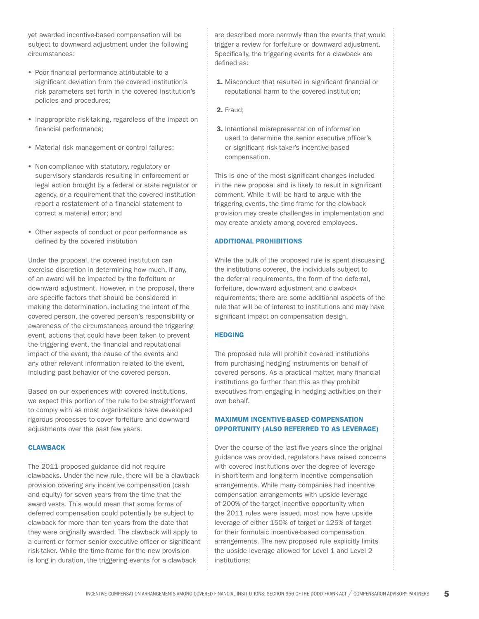yet awarded incentive-based compensation will be subject to downward adjustment under the following circumstances:

- Poor financial performance attributable to a significant deviation from the covered institution's risk parameters set forth in the covered institution's policies and procedures;
- Inappropriate risk-taking, regardless of the impact on financial performance;
- Material risk management or control failures;
- Non-compliance with statutory, regulatory or supervisory standards resulting in enforcement or legal action brought by a federal or state regulator or agency, or a requirement that the covered institution report a restatement of a financial statement to correct a material error; and
- Other aspects of conduct or poor performance as defined by the covered institution

Under the proposal, the covered institution can exercise discretion in determining how much, if any, of an award will be impacted by the forfeiture or downward adjustment. However, in the proposal, there are specific factors that should be considered in making the determination, including the intent of the covered person, the covered person's responsibility or awareness of the circumstances around the triggering event, actions that could have been taken to prevent the triggering event, the financial and reputational impact of the event, the cause of the events and any other relevant information related to the event, including past behavior of the covered person.

Based on our experiences with covered institutions, we expect this portion of the rule to be straightforward to comply with as most organizations have developed rigorous processes to cover forfeiture and downward adjustments over the past few years.

## **CLAWBACK**

The 2011 proposed guidance did not require clawbacks. Under the new rule, there will be a clawback provision covering any incentive compensation (cash and equity) for seven years from the time that the award vests. This would mean that some forms of deferred compensation could potentially be subject to clawback for more than ten years from the date that they were originally awarded. The clawback will apply to a current or former senior executive officer or significant risk-taker. While the time-frame for the new provision is long in duration, the triggering events for a clawback

are described more narrowly than the events that would trigger a review for forfeiture or downward adjustment. Specifically, the triggering events for a clawback are defined as:

- 1. Misconduct that resulted in significant financial or reputational harm to the covered institution;
- 2. Fraud;
- 3. Intentional misrepresentation of information used to determine the senior executive officer's or significant risk-taker's incentive-based compensation.

This is one of the most significant changes included in the new proposal and is likely to result in significant comment. While it will be hard to argue with the triggering events, the time-frame for the clawback provision may create challenges in implementation and may create anxiety among covered employees.

# ADDITIONAL PROHIBITIONS

While the bulk of the proposed rule is spent discussing the institutions covered, the individuals subject to the deferral requirements, the form of the deferral, forfeiture, downward adjustment and clawback requirements; there are some additional aspects of the rule that will be of interest to institutions and may have significant impact on compensation design.

## **HEDGING**

The proposed rule will prohibit covered institutions from purchasing hedging instruments on behalf of covered persons. As a practical matter, many financial institutions go further than this as they prohibit executives from engaging in hedging activities on their own behalf.

# MAXIMUM INCENTIVE-BASED COMPENSATION OPPORTUNITY (ALSO REFERRED TO AS LEVERAGE)

Over the course of the last five years since the original guidance was provided, regulators have raised concerns with covered institutions over the degree of leverage in short-term and long-term incentive compensation arrangements. While many companies had incentive compensation arrangements with upside leverage of 200% of the target incentive opportunity when the 2011 rules were issued, most now have upside leverage of either 150% of target or 125% of target for their formulaic incentive-based compensation arrangements. The new proposed rule explicitly limits the upside leverage allowed for Level 1 and Level 2 institutions: